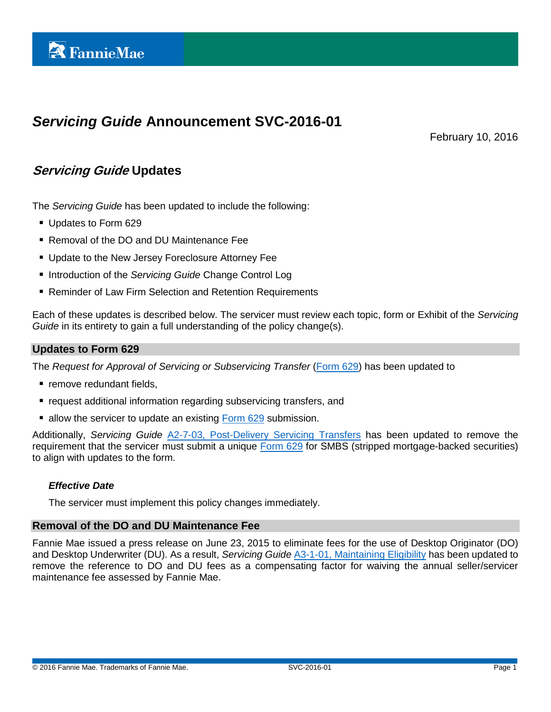# *Servicing Guide* **Announcement SVC-2016-01**

February 10, 2016

# **Servicing Guide Updates**

The *Servicing Guide* has been updated to include the following:

- Updates to Form 629
- Removal of the DO and DU Maintenance Fee
- **Update to the New Jersey Foreclosure Attorney Fee**
- Introduction of the *Servicing Guide* Change Control Log
- Reminder of Law Firm Selection and Retention Requirements

Each of these updates is described below. The servicer must review each topic, form or Exhibit of the *Servicing Guide* in its entirety to gain a full understanding of the policy change(s).

### **Updates to Form 629**

The *Request for Approval of Servicing or Subservicing Transfer* [\(Form 629\)](https://www.fanniemae.com/content/guide_form/629.xls) has been updated to

- remove redundant fields,
- request additional information regarding subservicing transfers, and
- allow the servicer to update an existing [Form 629](https://www.fanniemae.com/content/guide_form/629.xls) submission.

Additionally, *Servicing Guide* [A2-7-03, Post-Delivery Servicing Transfers](https://www.fanniemae.com/content/guide/svc021016.pdf#page=212) has been updated to remove the requirement that the servicer must submit a unique [Form 629](https://www.fanniemae.com/content/guide_form/629.xls) for SMBS (stripped mortgage-backed securities) to align with updates to the form.

# *Effective Date*

The servicer must implement this policy changes immediately.

# **Removal of the DO and DU Maintenance Fee**

Fannie Mae issued a press release on June 23, 2015 to eliminate fees for the use of Desktop Originator (DO) and Desktop Underwriter (DU). As a result, *Servicing Guide* [A3-1-01, Maintaining Eligibility](https://www.fanniemae.com/content/guide/svc021016.pdf#page=232) has been updated to remove the reference to DO and DU fees as a compensating factor for waiving the annual seller/servicer maintenance fee assessed by Fannie Mae.